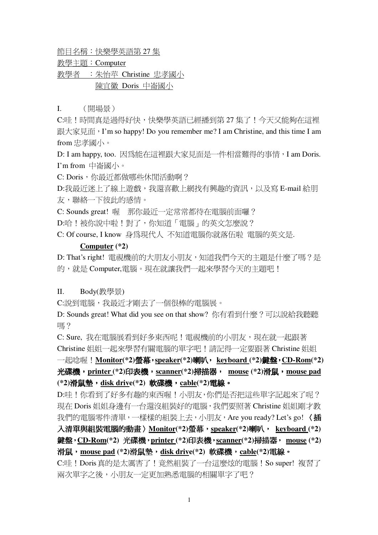節目名稱:快樂學英語第 27 集

教學主題: Computer

教學者 : 朱怡苹 Christine 忠孝國小 陳宜徽 Doris 中崙國小

I. (開場景)

C:哇!時間真是過得好快,快樂學英語已經播到第 27 集了!今天又能夠在這裡 跟大家見面, I'm so happy! Do you remember me? I am Christine, and this time I am from 忠孝國小。

D: I am happy, too. 因為能在這裡跟大家見面是一件相當難得的事情, I am Doris. I'm from 中崙國小。

C: Doris, 你最近都做哪些休閒活動啊?

D:我最沂洣上了線上游戲,我還喜歡上網找有興趣的資訊,以及寫 E-mail 給朋 友,聯絡一下彼此的感情。

C: Sounds great! 喔 那你最近一定常常都待在電腦前面囉?

D:哈!被你說中啦!對了,你知道「電腦」的英文怎麼說?

C: Of course, I know 身為現代人 不知道電腦你就落伍啦 電腦的英文是.

#### **Computer (\*2)**

D: That's right! 電視機前的大朋友小朋友,知道我們今天的主題是什麼了嗎?是 的,就是 Computer,電腦。現在就讓我們一起來學習今天的主題吧!

## II. Body(教學景)

C:說到電腦,我最沂才剛去了一個很棒的電腦展。

D: Sounds great! What did you see on that show? 你有看到什麼? 可以說給我聽聽 嗎?

C: Sure, 我在電腦展看到好多東西呢!電視機前的小朋友,現在就一起跟著 Christine 姐姐一起來學習有關電腦的單字吧!請記得一定要跟著 Christine 姐姐 一起唸喔!<u>Monitor</u>(\*2)螢幕,<u>speaker</u>(\*2)喇叭, <u>keyboard (</u>\*2)鍵盤,CD-Rom(\*2) **printer (\*2) scanner(\*2) mouse (\*2)mouse pad** (\*2)滑鼠墊,<u>disk driv</u>e(\*2) 軟碟機,<u>cable</u>(\*2)電線。

D:哇!你看到了好多有趣的東西喔!小朋友,你們是否把這些單字記起來了呢? 現在 Doris 姐姐身邊有一台還沒組裝好的電腦,我們要照著 Christine 姐姐剛才教 我們的電腦零件清單,一樣樣的組裝上去,小朋友, Are you ready? Let's go! 〈插 入清單與組裝電腦的動畫 > <u>Monitor</u>(\*2)螢幕,<u>speaker</u>(\*2)喇叭, <u>keyboard (</u>\*2) 鍵盤,CD-Rom(\*2) 光碟機,printer (\*2)印表機,<u>scanner</u>(\*2)掃描器, <u>mouse</u> (\*2) 滑鼠,<u>mouse pad</u> (\*2)滑鼠墊,<u>disk driv</u>e(\*2) 軟碟機,<u>cable</u>(\*2)電線。 C:哇!Doris真的是太厲害了!竟然組裝了一台這麼炫的電腦!So super! 複習了

兩次單字之後,小朋友一定更加熟悉電腦的相關單字了吧?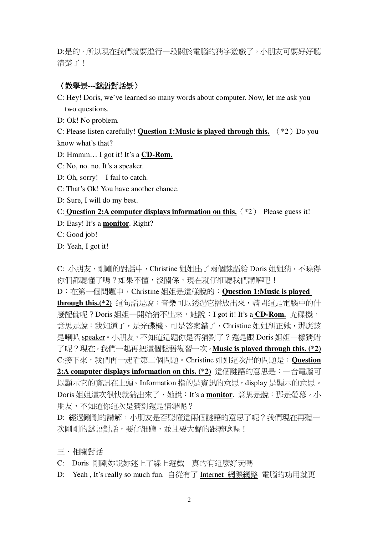D:是的,所以現在我們就要進行一段關於電腦的猜字遊戲了,小朋友可要好好聽 清楚了!

## 〈教學景---謎語對話景〉

- C: Hey! Doris, we've learned so many words about computer. Now, let me ask you two questions.
- D: Ok! No problem.

C: Please listen carefully! Question 1: Music is played through this.  $(*2)$  Do you know what's that?

- D: Hmmm... I got it! It's a **CD-Rom.**
- C: No, no. no. It's a speaker.
- D: Oh, sorry! I fail to catch.
- C: That's Ok! You have another chance.
- D: Sure, I will do my best.

#### C: Question 2:A computer displays information on this.  $(*2)$  Please guess it!

- D: Easy! It's a monitor. Right?
- C: Good job!

D: Yeah, I got it!

C: 小朋友,剛剛的對話中, Christine 姐姐出了兩個謎語給 Doris 姐姐猜, 不曉得 你們都聽懂了嗎?如果不懂,沒關係,現在就仔細聽我們講解吧!

D: 在第一個問題中, Christine 姐姐是這樣說的: Question 1:Music is played through this.(\*2) 這句話是說:音樂可以诱渦它播放出來,請問這是電腦中的什 麼配備呢?Doris姐姐一開始猜不出來,她說: I got it! It's a CD-Rom. 光碟機, 意思是說:我知道了,是光碟機。可是答案錯了, Christine 姐姐糾正她, 那應該 是喇叭 speaker。小朋友,不知道這題你是否猜對了?還是跟 Doris 姐姐一樣猜錯 了呢?現在,我們一起再把這個謎語複習一次。Music is played through this. (\*2) C:接下來,我們再一起看第二個問題。Christine 姐姐這次出的問題是: Question 2:A computer displays information on this. (\*2) 這個謎語的意思是:一台電腦可 以顯示它的資訊在上頭。Information 指的是資訊的意思, display 是顯示的意思。 Doris 姐姐這次很快就猜出來了, 她說: It's a monitor. 意思是說: 那是螢幕。小 朋友,不知道你這次是猜對還是猜錯呢?

D: 經過剛剛的講解,小朋友是否聽懂這兩個謎語的意思了呢?我們現在再聽一 次剛剛的謎語對話,要仔細聽,並且要大聲的跟著唸喔!

- 三、相關對話
- C: Doris 剛剛妳說妳洣上了線上游戲 直的有這麼好玩嗎
- D: Yeah, It's really so much fun. 自從有了 Internet 網際網路 電腦的功用就更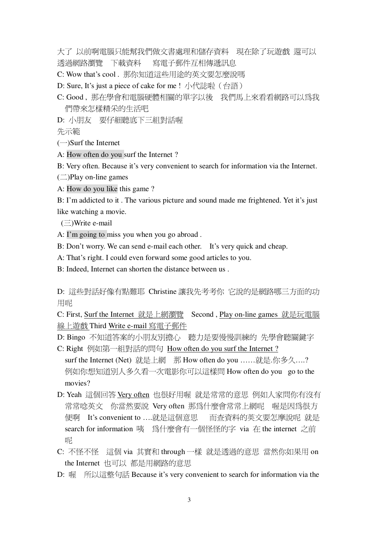大了 以前啊雷腦只能幫我們做文書處理和儲存資料 現在除了玩游戲 澴可以 透過網路瀏覽 下載資料 寫電子郵件互相傳遞訊息

C: Wow that's cool. 那你知道這些用涂的英文要怎麼說嗎

D: Sure, It's just a piece of cake for me ! 小代誌啦 (台語)

C: Good, 那在學會和電腦硬體相關的單字以後 我們馬上來看看網路可以為我 們帶來怎樣精采的生活吧

D: 小朋友 要仔細聽底下三組對話喔

先示範

 $(-)$ Surf the Internet

A: How often do you surf the Internet?

B: Very often. Because it's very convenient to search for information via the Internet.

 $(\square)$ Play on-line games

A: How do you like this game?

B: I'm addicted to it. The various picture and sound made me frightened. Yet it's just like watching a movie.

 $(\equiv)$ Write e-mail

A: I'm going to miss you when you go abroad.

B: Don't worry. We can send e-mail each other. It's very quick and cheap.

A: That's right. I could even forward some good articles to you.

B: Indeed, Internet can shorten the distance between us.

D: 這些對話好像有點難耶 Christine 讓我先考考你 它說的是網路哪三方面的功 用呢

C: First, Surf the Internet 就是上網瀏覽 Second, Play on-line games 就是玩電腦 線上游戲 Third Write e-mail 寫電子郵件

D: Bingo 不知道答案的小朋友別擔心 聽力是要慢慢訓練的 先學會聽關鍵字

- C: Right 例如第一組對話的問句 How often do you surf the Internet? surf the Internet (Net) 就是上網 那 How often do you ......就是.你多久....? 例如你想知道別人多久看一次電影你可以這樣問 How often do you go to the movies?
- D: Yeah 這個回答 Very often 也很好用喔 就是常常的意思 例如人家間你有沒有 常常唸英文 你當然要說 Very often 那為什麼會常常上網呢 喔是因為很方 便啊 It's convenient to ....就是這個意思 而杳資料的英文要怎麼說呢 就是 search for information 咦 為什麼會有一個怪怪的字 via 在 the internet 之前 呢
- C: 不怪不怪 這個 via 其實和 through 一樣 就是透過的意思 當然你如果用 on the Internet 也可以 都是用網路的意思
- D: 喔 所以這整句話 Because it's very convenient to search for information via the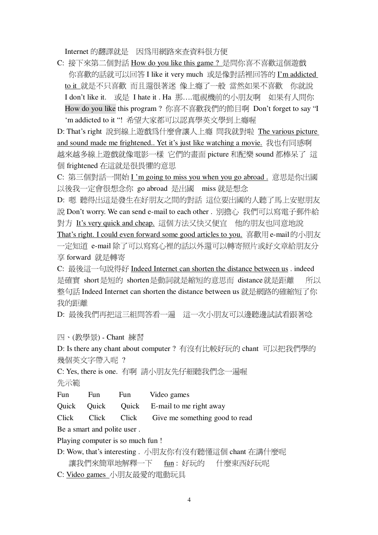Internet 的翻譯就是 因為用網路來查資料很方便

C: 接下來第二個對話 How do you like this game? 是問你喜不喜歡這個遊戲 你喜歡的話就可以回答 I like it very much 或是像對話裡回答的 I'm addicted <u>to it 就是不只喜歡 而且還很著迷 像上癮了一般 當然如果不喜歡</u> 你就說 I don't like it. 或是 I hate it . Ha 那....電視機前的小朋友啊 如果有人問你 How do you like this program? 你喜不喜歡我們的節目啊 Don't forget to say "I 'm addicted to it "! 希望大家都可以認真學英文學到上癮喔

D: That's right 說到線上遊戲為什麼會讓人上癮 間我就對啦 The various picture and sound made me frightened.. Yet it's just like watching a movie. 我也有同感啊 越來越多線上遊戲就像電影一樣 它們的書面 picture 和配樂 sound 都棒呆了 這 個 frightened 在這就是很畏懼的意思

C: 第三個對話一開始 I'm going to miss you when you go abroad. 意思是你出國 以後我一定會很想念你 go abroad 是出國 miss 就是想念

D: 嗯 聽得出這是發生在好朋友之間的對話 這位要出國的人聽了馬上安慰朋友 說 Don't worry. We can send e-mail to each other. 別擔心 我們可以寫電子郵件給 對方 It's very quick and cheap. 這個方法又快又便宜 他的朋友也同意地說

That's right. I could even forward some good articles to you. 喜歡用 e-mail的小朋友 一定知道 e-mail除了可以寫寫心裡的話以外還可以轉寄照片或好文章給朋友分 享 forward 就是轉寄

C: 最後這一句說得好 Indeed Internet can shorten the distance between us . indeed 是確實 short是短的 shorten是動詞就是縮短的意思而 distance就是距離 所以 整句話 Indeed Internet can shorten the distance between us 就是網路的確縮短了你 我的距離

D: 最後我們再把這三組問答看一遍 這一次小朋友可以邊聽邊試試看跟著唸

四、(教學景) - Chant 練習

D: Is there any chant about computer ? 有沒有比較好玩的 chant 可以把我們學的 幾個英文字帶入呢?

C: Yes, there is one. 有啊 請小朋友先仔細聽我們念一遍喔

先示範

Fun Fun Fun Video games

Quick Quick Quick E-mail to me right away

Click Click Click Give me something good to read

Be a smart and polite user.

Playing computer is so much fun !

D: Wow, that's interesting. 小朋友你有沒有聽懂這個 chant 在講什麼呢 fun: 好玩的 什麼東西好玩呢 讓我們來簡單地解釋一下

C: Video games 小朋友最愛的電動玩具